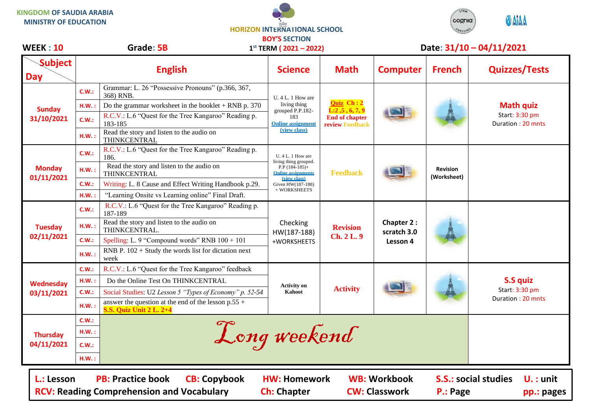**KINGDOM OF SAUDIA ARABIA MINISTRY OF EDUCATION**





**WEEK : 10 Grade: 5B Date: 31/10 – 04/11/2021**

| <b>WEEK : 10</b>               | Grade: 5B |                                                                                         | $1^{st}$ TERM ( $2021 - 2022$ )                                                                                                  |                                                                                   | Date: 31/10 - 04/11/2021              |                                |                                                         |  |
|--------------------------------|-----------|-----------------------------------------------------------------------------------------|----------------------------------------------------------------------------------------------------------------------------------|-----------------------------------------------------------------------------------|---------------------------------------|--------------------------------|---------------------------------------------------------|--|
| <b>Subject</b><br><b>Day</b>   |           | <b>English</b>                                                                          | <b>Science</b>                                                                                                                   | <b>Math</b>                                                                       | <b>Computer</b>                       | <b>French</b>                  | <b>Quizzes/Tests</b>                                    |  |
| <b>Sunday</b><br>31/10/2021    | C.W.:     | Grammar: L. 26 "Possessive Pronouns" (p.366, 367,<br>368) RNB.                          | $U. 4 L. 1$ How are<br>living thing<br>grouped P.P.182-<br>183<br><b>Online assignment</b>                                       | Quiz Ch: 2<br>L: 2, 5, 6, 7, 9<br><b>End of chapter</b><br><b>review Feedback</b> |                                       |                                | <b>Math quiz</b><br>Start: 3:30 pm<br>Duration: 20 mnts |  |
|                                | H.W.:     | Do the grammar worksheet in the booklet $+$ RNB p. 370                                  |                                                                                                                                  |                                                                                   |                                       |                                |                                                         |  |
|                                | C.W.:     | R.C.V.: L.6 "Quest for the Tree Kangaroo" Reading p.<br>183-185                         |                                                                                                                                  |                                                                                   |                                       |                                |                                                         |  |
|                                | H.W.:     | Read the story and listen to the audio on<br>THINKCENTRAL                               | (view class)                                                                                                                     |                                                                                   |                                       |                                |                                                         |  |
| <b>Monday</b><br>01/11/2021    | C.W.:     | R.C.V.: L.6 "Quest for the Tree Kangaroo" Reading p.<br>186.                            | U. 4 L. 1 How are<br>living thing grouped.<br>$P.P$ (184-185)+<br><b>Online assignments</b><br>(view class)<br>Given HW(187-188) | <b>Feedback</b>                                                                   |                                       | <b>Revision</b><br>(Worksheet) |                                                         |  |
|                                | HM.:      | Read the story and listen to the audio on<br>THINKCENTRAL                               |                                                                                                                                  |                                                                                   |                                       |                                |                                                         |  |
|                                | C.W.:     | Writing: L. 8 Cause and Effect Writing Handbook p.29.                                   |                                                                                                                                  |                                                                                   |                                       |                                |                                                         |  |
|                                | H.W.:     | "Learning Onsite vs Learning online" Final Draft.                                       | + WORKSHEETS                                                                                                                     |                                                                                   |                                       |                                |                                                         |  |
| <b>Tuesday</b><br>02/11/2021   | C.W.:     | R.C.V.: L.6 "Quest for the Tree Kangaroo" Reading p.<br>187-189                         | Checking<br>HW(187-188)                                                                                                          | <b>Revision</b><br>Ch. 2 L. 9                                                     | Chapter 2:<br>scratch 3.0<br>Lesson 4 |                                |                                                         |  |
|                                | H.W.:     | Read the story and listen to the audio on<br>THINKCENTRAL.                              |                                                                                                                                  |                                                                                   |                                       |                                |                                                         |  |
|                                | C.W.:     | Spelling: L. 9 "Compound words" RNB $100 + 101$                                         | +WORKSHEETS                                                                                                                      |                                                                                   |                                       |                                |                                                         |  |
|                                | H.W.:     | RNB P. $102 +$ Study the words list for dictation next<br>week                          |                                                                                                                                  |                                                                                   |                                       |                                |                                                         |  |
| <b>Wednesday</b><br>03/11/2021 | C.W.:     | R.C.V.: L.6 "Quest for the Tree Kangaroo" feedback                                      |                                                                                                                                  | <b>Activity</b>                                                                   |                                       |                                | <b>S.S quiz</b><br>Start: 3:30 pm<br>Duration: 20 mnts  |  |
|                                | H.W.:     | Do the Online Test On THINKCENTRAL                                                      | <b>Activity on</b>                                                                                                               |                                                                                   |                                       |                                |                                                         |  |
|                                | C.W.:     | Social Studies: U2 Lesson 5 "Types of Economy" p. 52-54                                 | Kahoot                                                                                                                           |                                                                                   |                                       |                                |                                                         |  |
|                                | H.W.:     | answer the question at the end of the lesson $p.55 +$<br><b>S.S. Quiz Unit 2 L. 2+4</b> |                                                                                                                                  |                                                                                   |                                       |                                |                                                         |  |
| <b>Thursday</b><br>04/11/2021  | C.W.:     |                                                                                         |                                                                                                                                  |                                                                                   |                                       |                                |                                                         |  |
|                                | H.W.:     |                                                                                         |                                                                                                                                  |                                                                                   |                                       |                                |                                                         |  |
|                                | C.W.:     | Long weekend                                                                            |                                                                                                                                  |                                                                                   |                                       |                                |                                                         |  |
|                                | HM.:      |                                                                                         |                                                                                                                                  |                                                                                   |                                       |                                |                                                         |  |